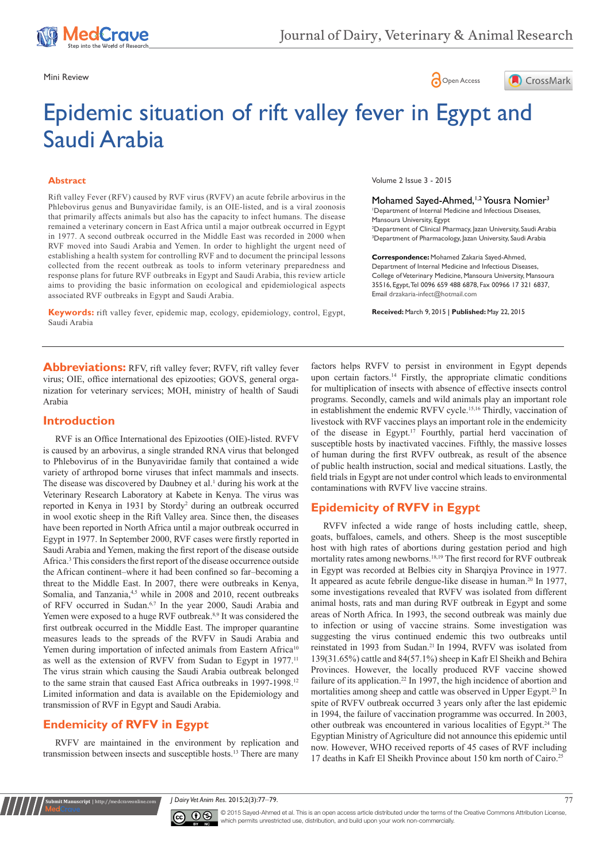





# Epidemic situation of rift valley fever in Egypt and Saudi Arabia

#### **Abstract**

Rift valley Fever (RFV) caused by RVF virus (RVFV) an acute febrile arbovirus in the Phlebovirus genus and Bunyaviridae family, is an OIE-listed, and is a viral zoonosis that primarily affects animals but also has the capacity to infect humans. The disease remained a veterinary concern in East Africa until a major outbreak occurred in Egypt in 1977. A second outbreak occurred in the Middle East was recorded in 2000 when RVF moved into Saudi Arabia and Yemen. In order to highlight the urgent need of establishing a health system for controlling RVF and to document the principal lessons collected from the recent outbreak as tools to inform veterinary preparedness and response plans for future RVF outbreaks in Egypt and Saudi Arabia, this review article aims to providing the basic information on ecological and epidemiological aspects associated RVF outbreaks in Egypt and Saudi Arabia.

**Keywords:** rift valley fever, epidemic map, ecology, epidemiology, control, Egypt, Saudi Arabia

Volume 2 Issue 3 - 2015

Mohamed Sayed-Ahmed,<sup>1,2</sup> Yousra Nomier<sup>3</sup> 1 Department of Internal Medicine and Infectious Diseases, Mansoura University, Egypt 2 Department of Clinical Pharmacy, Jazan University, Saudi Arabia 3 Department of Pharmacology, Jazan University, Saudi Arabia

**Correspondence:** Mohamed Zakaria Sayed-Ahmed, Department of Internal Medicine and Infectious Diseases, College of Veterinary Medicine, Mansoura University, Mansoura 35516, Egypt, Tel 0096 659 488 6878, Fax 00966 17 321 6837, Email drzakaria-infect@hotmail.com

**Received:** March 9, 2015 | **Published:** May 22, 2015

**Abbreviations:** RFV, rift valley fever; RVFV, rift valley fever virus; OIE, office international des epizooties; GOVS, general organization for veterinary services; MOH, ministry of health of Saudi Arabia

## **Introduction**

RVF is an Office International des Epizooties (OIE)-listed. RVFV is caused by an arbovirus, a single stranded RNA virus that belonged to Phlebovirus of in the Bunyaviridae family that contained a wide variety of arthropod borne viruses that infect mammals and insects. The disease was discovered by Daubney et al.<sup>1</sup> during his work at the Veterinary Research Laboratory at Kabete in Kenya. The virus was reported in Kenya in 1931 by Stordy<sup>2</sup> during an outbreak occurred in wool exotic sheep in the Rift Valley area. Since then, the diseases have been reported in North Africa until a major outbreak occurred in Egypt in 1977. In September 2000, RVF cases were firstly reported in Saudi Arabia and Yemen, making the first report of the disease outside Africa.3 This considers the first report of the disease occurrence outside the African continent–where it had been confined so far–becoming a threat to the Middle East. In 2007, there were outbreaks in Kenya, Somalia, and Tanzania,<sup>4,5</sup> while in 2008 and 2010, recent outbreaks of RFV occurred in Sudan.<sup>6,7</sup> In the year 2000, Saudi Arabia and Yemen were exposed to a huge RVF outbreak.<sup>8,9</sup> It was considered the first outbreak occurred in the Middle East. The improper quarantine measures leads to the spreads of the RVFV in Saudi Arabia and Yemen during importation of infected animals from Eastern Africa<sup>10</sup> as well as the extension of RVFV from Sudan to Egypt in 1977.<sup>11</sup> The virus strain which causing the Saudi Arabia outbreak belonged to the same strain that caused East Africa outbreaks in 1997-1998.<sup>12</sup> Limited information and data is available on the Epidemiology and transmission of RVF in Egypt and Saudi Arabia.

# **Endemicity of RVFV in Egypt**

**nit Manuscript** | http://medcraveonline.c

RVFV are maintained in the environment by replication and transmission between insects and susceptible hosts.13 There are many

factors helps RVFV to persist in environment in Egypt depends upon certain factors.<sup>14</sup> Firstly, the appropriate climatic conditions for multiplication of insects with absence of effective insects control programs. Secondly, camels and wild animals play an important role in establishment the endemic RVFV cycle.15,16 Thirdly, vaccination of livestock with RVF vaccines plays an important role in the endemicity of the disease in Egypt.17 Fourthly, partial herd vaccination of susceptible hosts by inactivated vaccines. Fifthly, the massive losses of human during the first RVFV outbreak, as result of the absence of public health instruction, social and medical situations. Lastly, the field trials in Egypt are not under control which leads to environmental contaminations with RVFV live vaccine strains.

# **Epidemicity of RVFV in Egypt**

RVFV infected a wide range of hosts including cattle, sheep, goats, buffaloes, camels, and others. Sheep is the most susceptible host with high rates of abortions during gestation period and high mortality rates among newborns.18,19 The first record for RVF outbreak in Egypt was recorded at Belbies city in Sharqiya Province in 1977. It appeared as acute febrile dengue-like disease in human.<sup>20</sup> In 1977, some investigations revealed that RVFV was isolated from different animal hosts, rats and man during RVF outbreak in Egypt and some areas of North Africa. In 1993, the second outbreak was mainly due to infection or using of vaccine strains. Some investigation was suggesting the virus continued endemic this two outbreaks until reinstated in 1993 from Sudan.<sup>21</sup> In 1994, RVFV was isolated from 139(31.65%) cattle and 84(57.1%) sheep in Kafr El Sheikh and Behira Provinces. However, the locally produced RVF vaccine showed failure of its application.<sup>22</sup> In 1997, the high incidence of abortion and mortalities among sheep and cattle was observed in Upper Egypt.<sup>23</sup> In spite of RVFV outbreak occurred 3 years only after the last epidemic in 1994, the failure of vaccination programme was occurred. In 2003, other outbreak was encountered in various localities of Egypt.<sup>24</sup> The Egyptian Ministry of Agriculture did not announce this epidemic until now. However, WHO received reports of 45 cases of RVF including 17 deaths in Kafr El Sheikh Province about 150 km north of Cairo.<sup>25</sup>

*J Dairy Vet Anim Res.* 2015;2(3):77‒79. 77



© 2015 Sayed-Ahmed et al. This is an open access article distributed under the terms of the [Creative Commons Attribution License](https://creativecommons.org/licenses/by-nc/4.0/), which permits unrestricted use, distribution, and build upon your work non-commercially.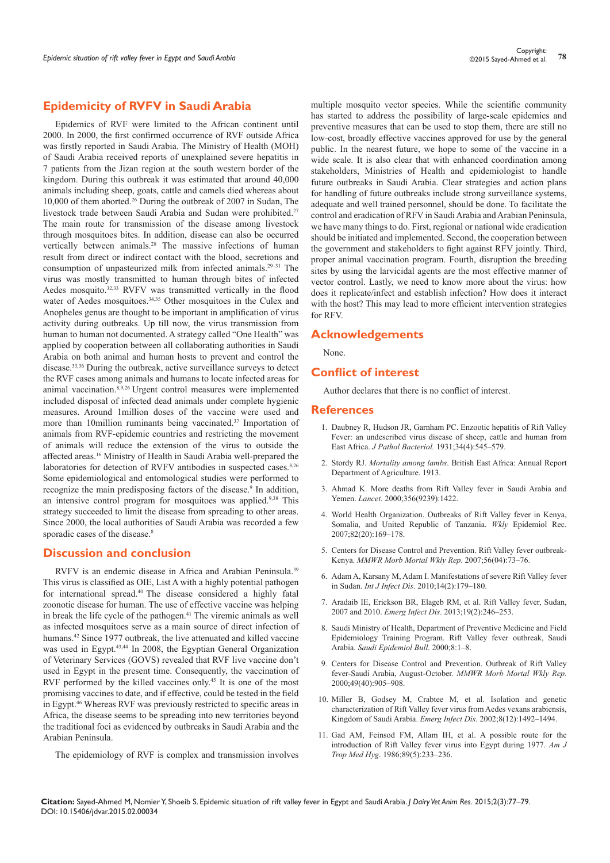## **Epidemicity of RVFV in Saudi Arabia**

Epidemics of RVF were limited to the African continent until 2000. In 2000, the first confirmed occurrence of RVF outside Africa was firstly reported in Saudi Arabia. The Ministry of Health (MOH) of Saudi Arabia received reports of unexplained severe hepatitis in 7 patients from the Jizan region at the south western border of the kingdom. During this outbreak it was estimated that around 40,000 animals including sheep, goats, cattle and camels died whereas about 10,000 of them aborted.<sup>26</sup> During the outbreak of 2007 in Sudan, The livestock trade between Saudi Arabia and Sudan were prohibited.<sup>27</sup> The main route for transmission of the disease among livestock through mosquitoes bites. In addition, disease can also be occurred vertically between animals.<sup>28</sup> The massive infections of human result from direct or indirect contact with the blood, secretions and consumption of unpasteurized milk from infected animals.<sup>29–31</sup> The virus was mostly transmitted to human through bites of infected Aedes mosquito.<sup>32,33</sup> RVFV was transmitted vertically in the flood water of Aedes mosquitoes.<sup>34,35</sup> Other mosquitoes in the Culex and Anopheles genus are thought to be important in amplification of virus activity during outbreaks. Up till now, the virus transmission from human to human not documented. A strategy called "One Health" was applied by cooperation between all collaborating authorities in Saudi Arabia on both animal and human hosts to prevent and control the disease.33,36 During the outbreak, active surveillance surveys to detect the RVF cases among animals and humans to locate infected areas for animal vaccination.<sup>8,9,26</sup> Urgent control measures were implemented included disposal of infected dead animals under complete hygienic measures. Around 1million doses of the vaccine were used and more than 10million ruminants being vaccinated.<sup>37</sup> Importation of animals from RVF-epidemic countries and restricting the movement of animals will reduce the extension of the virus to outside the affected areas.<sup>16</sup> Ministry of Health in Saudi Arabia well-prepared the laboratories for detection of RVFV antibodies in suspected cases.<sup>8,26</sup> Some epidemiological and entomological studies were performed to recognize the main predisposing factors of the disease.<sup>9</sup> In addition, an intensive control program for mosquitoes was applied.9,38 This strategy succeeded to limit the disease from spreading to other areas. Since 2000, the local authorities of Saudi Arabia was recorded a few sporadic cases of the disease.<sup>8</sup>

### **Discussion and conclusion**

RVFV is an endemic disease in Africa and Arabian Peninsula.<sup>39</sup> This virus is classified as OIE, List A with a highly potential pathogen for international spread.40 The disease considered a highly fatal zoonotic disease for human. The use of effective vaccine was helping in break the life cycle of the pathogen.<sup>41</sup> The viremic animals as well as infected mosquitoes serve as a main source of direct infection of humans.<sup>42</sup> Since 1977 outbreak, the live attenuated and killed vaccine was used in Egypt.43,44 In 2008, the Egyptian General Organization of Veterinary Services (GOVS) revealed that RVF live vaccine don't used in Egypt in the present time. Consequently, the vaccination of RVF performed by the killed vaccines only.<sup>45</sup> It is one of the most promising vaccines to date, and if effective, could be tested in the field in Egypt.<sup>46</sup> Whereas RVF was previously restricted to specific areas in Africa, the disease seems to be spreading into new territories beyond the traditional foci as evidenced by outbreaks in Saudi Arabia and the Arabian Peninsula.

multiple mosquito vector species. While the scientific community has started to address the possibility of large-scale epidemics and preventive measures that can be used to stop them, there are still no low-cost, broadly effective vaccines approved for use by the general public. In the nearest future, we hope to some of the vaccine in a wide scale. It is also clear that with enhanced coordination among stakeholders, Ministries of Health and epidemiologist to handle future outbreaks in Saudi Arabia. Clear strategies and action plans for handling of future outbreaks include strong surveillance systems, adequate and well trained personnel, should be done. To facilitate the control and eradication of RFV in Saudi Arabia and Arabian Peninsula, we have many things to do. First, regional or national wide eradication should be initiated and implemented. Second, the cooperation between the government and stakeholders to fight against RFV jointly. Third, proper animal vaccination program. Fourth, disruption the breeding sites by using the larvicidal agents are the most effective manner of vector control. Lastly, we need to know more about the virus: how does it replicate/infect and establish infection? How does it interact with the host? This may lead to more efficient intervention strategies for RFV.

### **Acknowledgements**

None.

### **Conflict of interest**

Author declares that there is no conflict of interest.

#### **References**

- 1. [Daubney R, Hudson JR, Garnham PC. Enzootic hepatitis of Rift Valley](http://onlinelibrary.wiley.com/doi/10.1002/path.1700340418/abstract)  [Fever: an undescribed virus disease of sheep, cattle and human from](http://onlinelibrary.wiley.com/doi/10.1002/path.1700340418/abstract)  East Africa. *J Pathol Bacteriol*. 1931;34(4):545-579.
- 2. Stordy RJ. *Mortality among lambs*. British East Africa: Annual Report Department of Agriculture. 1913.
- 3. [Ahmad K. More deaths from Rift Valley fever in Saudi Arabia and](http://www.ncbi.nlm.nih.gov/pubmed/11052595)  Yemen. *Lancet.* [2000;356\(9239\):1422.](http://www.ncbi.nlm.nih.gov/pubmed/11052595)
- 4. [World Health Organization. Outbreaks of Rift Valley fever in Kenya,](http://www.ncbi.nlm.nih.gov/pubmed/17508438)  [Somalia, and United Republic of Tanzania.](http://www.ncbi.nlm.nih.gov/pubmed/17508438) *Wkly* Epidemiol Rec. [2007;82\(20\):169‒178.](http://www.ncbi.nlm.nih.gov/pubmed/17508438)
- 5. [Centers for Disease Control and Prevention. Rift Valley fever outbreak-](http://www.cdc.gov/mmwr/preview/mmwrhtml/mm5604a3.htm)Kenya. *[MMWR Morb Mortal Wkly Rep](http://www.cdc.gov/mmwr/preview/mmwrhtml/mm5604a3.htm).* 2007;56(04):73-76.
- 6. [Adam A, Karsany M, Adam I. Manifestations of severe Rift Valley fever](http://www.ijidonline.com/article/S1201-9712%2809%2900185-4/abstract)  in Sudan. *Int J Infect Dis.* 2010;14(2):179-180.
- 7. [Aradaib IE, Erickson BR, Elageb RM, et al. Rift Valley fever, Sudan,](http://wwwnc.cdc.gov/eid/article/19/2/12-0834_article)  2007 and 2010. *Emerg Infect Dis*[. 2013;19\(2\):246‒253.](http://wwwnc.cdc.gov/eid/article/19/2/12-0834_article)
- 8. Saudi Ministry of Health, Department of Preventive Medicine and Field Epidemiology Training Program. Rift Valley fever outbreak, Saudi Arabia. *Saudi Epidemiol Bull*. 2000;8:1‒8.
- 9. [Centers for Disease Control and Prevention. Outbreak of Rift Valley](http://www.ncbi.nlm.nih.gov/pubmed/11043643)  [fever-Saudi Arabia, August-October.](http://www.ncbi.nlm.nih.gov/pubmed/11043643) *MMWR Morb Mortal Wkly Rep*. [2000;49\(40\):905‒908.](http://www.ncbi.nlm.nih.gov/pubmed/11043643)
- 10. [Miller B, Godsey M, Crabtee M, et al. Isolation and genetic](http://www.ncbi.nlm.nih.gov/pubmed/12498669)  [characterization of Rift Valley fever virus from Aedes vexans arabiensis,](http://www.ncbi.nlm.nih.gov/pubmed/12498669)  [Kingdom of Saudi Arabia.](http://www.ncbi.nlm.nih.gov/pubmed/12498669) *Emerg Infect Dis.* 2002;8(12):1492-1494.
- 11. [Gad AM, Feinsod FM, Allam IH, et al. A possible route for the](http://www.ncbi.nlm.nih.gov/pubmed/3795324)  [introduction of Rift Valley fever virus into Egypt during 1977.](http://www.ncbi.nlm.nih.gov/pubmed/3795324) *Am J Trop Med Hyg*[. 1986;89\(5\):233‒236.](http://www.ncbi.nlm.nih.gov/pubmed/3795324)

**Citation:** Sayed-Ahmed M, Nomier Y, Shoeib S. Epidemic situation of rift valley fever in Egypt and Saudi Arabia. *J Dairy Vet Anim Res.* 2015;2(3):77‒79. DOI: [10.15406/jdvar.2015.02.00034](https://doi.org/10.15406/jdvar.2015.02.00034)